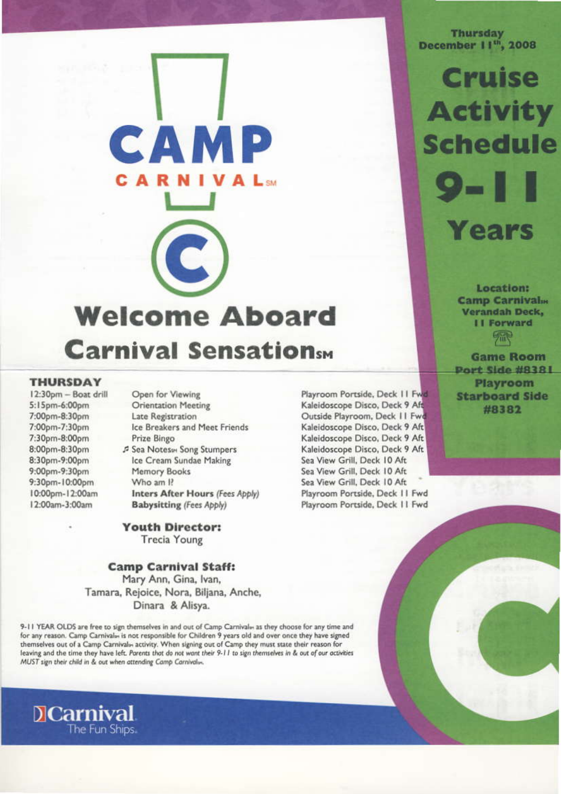# CAMP C **Welcome Aboard Carnival Sensationsm**

### **THURSDAY**

12:30pm - Boat drill 5:15pm-6:00pm 7:00pm-8:30pm 7:00pm-7:30pm 7:30pm-8:00pm 8:00pm-8:30pm 8:30pm-9:00pm 9:00pm-9:30pm 9:30pm-10:00pm 10:00pm-12:00am 12:00am-3:00am

D**Carnival** 

Open for Viewing **Orientation Meeting** Late Registration Ice Breakers and Meet Friends Prize Bingo **3** Sea Notes m Song Stumpers Ice Cream Sundae Making Memory Books Who am P Inters After Hours (Fees Apply) **Babysitting (Fees Apply)** 

**Youth Director: Trecia Young** 

### **Camp Carnival Staff:**

Mary Ann, Gina, Ivan, Tamara, Rejoice, Nora, Biljana, Anche, Dinara & Alisya.

9-11 YEAR OLDS are free to sign themselves in and out of Camp Carnival» as they choose for any time and for any reason. Camp Carnival» is not responsible for Children 9 years old and over once they have signed themselves out of a Camp Carnival» activity. When signing out of Camp they must state their reason for leaving and the time they have left. Parents that do not want their 9-11 to sign themselves in & out of our activities MUST sign their child in & out when attending Camp Carnivalus.

Playroom Portside, Deck 11 Fwd Kaleidoscope Disco, Deck 9 Aft Outside Playroom, Deck 11 Fwd Kaleidoscope Disco, Deck 9 Aft Kaleidoscope Disco, Deck 9 Aft Kaleidoscope Disco, Deck 9 Aft Sea View Grill, Deck 10 Aft Sea View Grill, Deck 10 Aft Sea View Grill, Deck 10 Aft Playroom Portside, Deck 11 Fwd Playroom Portside, Deck 11 Fwd

Thursday<br>December 11<sup>th</sup>, 2008

**Cruise Activity Schedule**  $\mathbf{O}_{\mathbf{m}}$ Years

> Location: **Camp Carnivalm Verandah Deck, II Forward** 需

**Game Room Port Side #8381** Playroom **Starboard Side** #8382